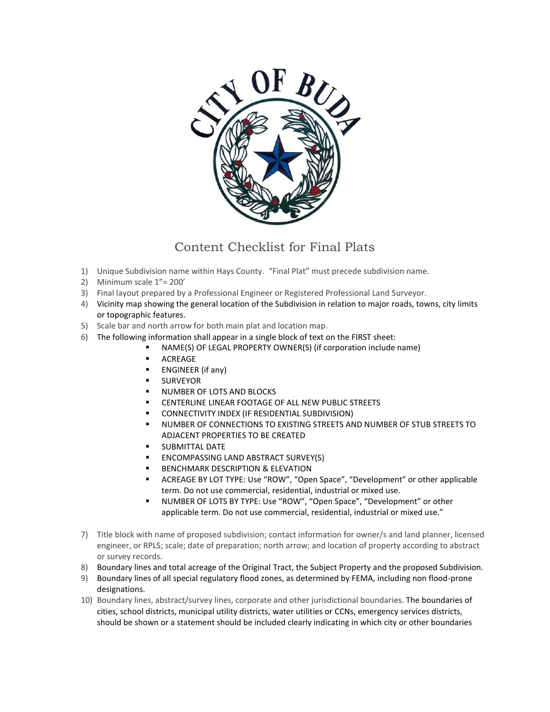

## Content Checklist for Final Plats

- 1) Unique Subdivision name within Hays County. "Final Plat" must precede subdivision name.
- 2) Minimum scale 1"= 200'
- 3) Final layout prepared by a Professional Engineer or Registered Professional Land Surveyor.
- 4) Vicinity map showing the general location of the Subdivision in relation to major roads, towns, city limits or topographic features.
- 5) Scale bar and north arrow for both main plat and location map.
- 6) The following information shall appear in a single block of text on the FIRST sheet:
	- NAME(S) OF LEGAL PROPERTY OWNER(S) (if corporation include name)
	- ACREAGE
	- **ENGINEER** (if any)
	- SURVEYOR
	- **NUMBER OF LOTS AND BLOCKS**
	- CENTERLINE LINEAR FOOTAGE OF ALL NEW PUBLIC STREETS
	- CONNECTIVITY INDEX (IF RESIDENTIAL SUBDIVISION)
	- NUMBER OF CONNECTIONS TO EXISTING STREETS AND NUMBER OF STUB STREETS TO ADJACENT PROPERTIES TO BE CREATED
	- SUBMITTAL DATE
	- **ENCOMPASSING LAND ABSTRACT SURVEY(S)**
	- BENCHMARK DESCRIPTION & ELEVATION
	- ACREAGE BY LOT TYPE: Use "ROW", "Open Space", "Development" or other applicable term. Do not use commercial, residential, industrial or mixed use.
	- NUMBER OF LOTS BY TYPE: Use "ROW", "Open Space", "Development" or other applicable term. Do not use commercial, residential, industrial or mixed use."
- 7) Title block with name of proposed subdivision; contact information for owner/s and land planner, licensed engineer, or RPLS; scale; date of preparation; north arrow; and location of property according to abstract or survey records.
- 8) Boundary lines and total acreage of the Original Tract, the Subject Property and the proposed Subdivision.
- 9) Boundary lines of all special regulatory flood zones, as determined by FEMA, including non flood-prone designations.
- 10) Boundary lines, abstract/survey lines, corporate and other jurisdictional boundaries. The boundaries of cities, school districts, municipal utility districts, water utilities or CCNs, emergency services districts, should be shown or a statement should be included clearly indicating in which city or other boundaries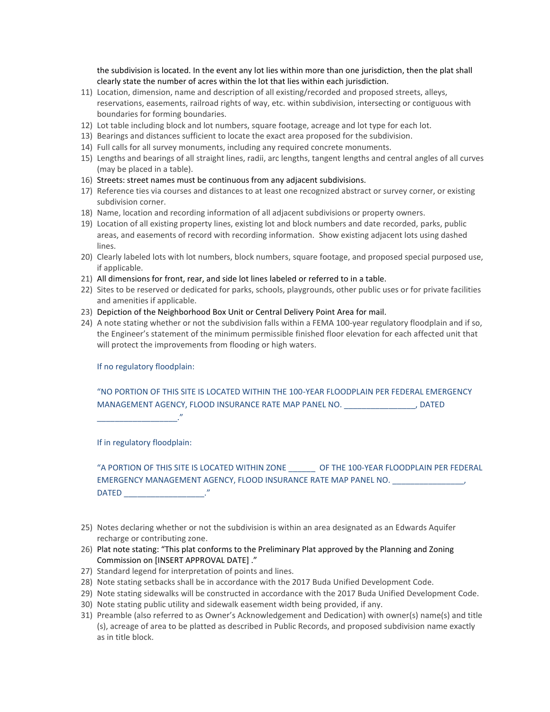the subdivision is located. In the event any lot lies within more than one jurisdiction, then the plat shall clearly state the number of acres within the lot that lies within each jurisdiction.

- 11) Location, dimension, name and description of all existing/recorded and proposed streets, alleys, reservations, easements, railroad rights of way, etc. within subdivision, intersecting or contiguous with boundaries for forming boundaries.
- 12) Lot table including block and lot numbers, square footage, acreage and lot type for each lot.
- 13) Bearings and distances sufficient to locate the exact area proposed for the subdivision.
- 14) Full calls for all survey monuments, including any required concrete monuments.
- 15) Lengths and bearings of all straight lines, radii, arc lengths, tangent lengths and central angles of all curves (may be placed in a table).
- 16) Streets: street names must be continuous from any adjacent subdivisions.
- 17) Reference ties via courses and distances to at least one recognized abstract or survey corner, or existing subdivision corner.
- 18) Name, location and recording information of all adjacent subdivisions or property owners.
- 19) Location of all existing property lines, existing lot and block numbers and date recorded, parks, public areas, and easements of record with recording information. Show existing adjacent lots using dashed lines.
- 20) Clearly labeled lots with lot numbers, block numbers, square footage, and proposed special purposed use, if applicable.
- 21) All dimensions for front, rear, and side lot lines labeled or referred to in a table.
- 22) Sites to be reserved or dedicated for parks, schools, playgrounds, other public uses or for private facilities and amenities if applicable.
- 23) Depiction of the Neighborhood Box Unit or Central Delivery Point Area for mail.
- 24) A note stating whether or not the subdivision falls within a FEMA 100-year regulatory floodplain and if so, the Engineer's statement of the minimum permissible finished floor elevation for each affected unit that will protect the improvements from flooding or high waters.

If no regulatory floodplain:

"NO PORTION OF THIS SITE IS LOCATED WITHIN THE 100-YEAR FLOODPLAIN PER FEDERAL EMERGENCY MANAGEMENT AGENCY, FLOOD INSURANCE RATE MAP PANEL NO.  $\overline{\phantom{a}}$ , DATED

\_\_\_\_\_\_\_\_\_\_\_\_\_\_\_\_\_\_."

If in regulatory floodplain:

"A PORTION OF THIS SITE IS LOCATED WITHIN ZONE \_\_\_\_\_\_ OF THE 100-YEAR FLOODPLAIN PER FEDERAL EMERGENCY MANAGEMENT AGENCY, FLOOD INSURANCE RATE MAP PANEL NO. DATED \_\_\_\_\_\_\_\_\_\_\_\_\_\_\_\_\_\_."

- 25) Notes declaring whether or not the subdivision is within an area designated as an Edwards Aquifer recharge or contributing zone.
- 26) Plat note stating: "This plat conforms to the Preliminary Plat approved by the Planning and Zoning Commission on [INSERT APPROVAL DATE] ."
- 27) Standard legend for interpretation of points and lines.
- 28) Note stating setbacks shall be in accordance with the 2017 Buda Unified Development Code.
- 29) Note stating sidewalks will be constructed in accordance with the 2017 Buda Unified Development Code.
- 30) Note stating public utility and sidewalk easement width being provided, if any.
- 31) Preamble (also referred to as Owner's Acknowledgement and Dedication) with owner(s) name(s) and title (s), acreage of area to be platted as described in Public Records, and proposed subdivision name exactly as in title block.